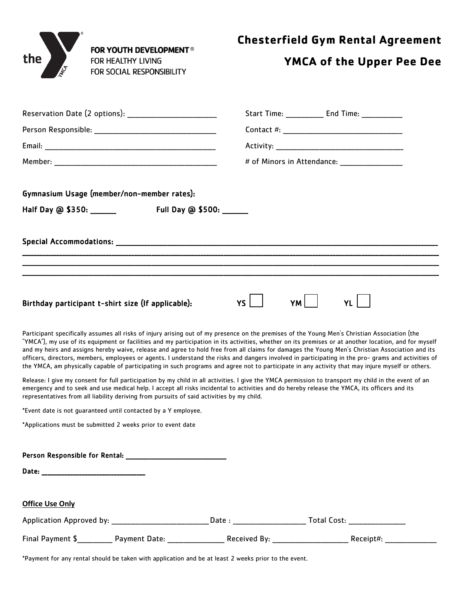| ⊛   | <b>FOR YOUTH DEVELOPMENT ®</b> |
|-----|--------------------------------|
| the | FOR HEALTHY LIVING             |
| ∕\$ | FOR SOCIAL RESPONSIBILITY      |
|     |                                |

## **YMCA of the Upper Pee Dee**

| Reservation Date (2 options):                                                                                                                                                                                                                                                                                                                                                                                                                                                                                                                                                                                                                                                                                                                                        |                          | Start Time: _____________ End Time: _____________ |  |  |  |
|----------------------------------------------------------------------------------------------------------------------------------------------------------------------------------------------------------------------------------------------------------------------------------------------------------------------------------------------------------------------------------------------------------------------------------------------------------------------------------------------------------------------------------------------------------------------------------------------------------------------------------------------------------------------------------------------------------------------------------------------------------------------|--------------------------|---------------------------------------------------|--|--|--|
|                                                                                                                                                                                                                                                                                                                                                                                                                                                                                                                                                                                                                                                                                                                                                                      |                          |                                                   |  |  |  |
|                                                                                                                                                                                                                                                                                                                                                                                                                                                                                                                                                                                                                                                                                                                                                                      |                          |                                                   |  |  |  |
|                                                                                                                                                                                                                                                                                                                                                                                                                                                                                                                                                                                                                                                                                                                                                                      |                          |                                                   |  |  |  |
| Gymnasium Usage (member/non-member rates):                                                                                                                                                                                                                                                                                                                                                                                                                                                                                                                                                                                                                                                                                                                           |                          |                                                   |  |  |  |
| Half Day @ \$350: ______                                                                                                                                                                                                                                                                                                                                                                                                                                                                                                                                                                                                                                                                                                                                             | Full Day @ \$500: ______ |                                                   |  |  |  |
|                                                                                                                                                                                                                                                                                                                                                                                                                                                                                                                                                                                                                                                                                                                                                                      |                          |                                                   |  |  |  |
|                                                                                                                                                                                                                                                                                                                                                                                                                                                                                                                                                                                                                                                                                                                                                                      |                          |                                                   |  |  |  |
| Birthday participant t-shirt size (If applicable):                                                                                                                                                                                                                                                                                                                                                                                                                                                                                                                                                                                                                                                                                                                   | ys l                     | YM l<br><b>YL</b>                                 |  |  |  |
| Participant specifically assumes all risks of injury arising out of my presence on the premises of the Young Men's Christian Association (the<br>"YMCA"), my use of its equipment or facilities and my participation in its activities, whether on its premises or at another location, and for myself<br>and my heirs and assigns hereby waive, release and agree to hold free from all claims for damages the Young Men's Christian Association and its<br>officers, directors, members, employees or agents. I understand the risks and dangers involved in participating in the pro- grams and activities of<br>the YMCA, am physically capable of participating in such programs and agree not to participate in any activity that may injure myself or others. |                          |                                                   |  |  |  |
| Release: I give my consent for full participation by my child in all activities. I give the YMCA permission to transport my child in the event of an<br>emergency and to seek and use medical help. I accept all risks incidental to activities and do hereby release the YMCA, its officers and its<br>representatives from all liability deriving from pursuits of said activities by my child.                                                                                                                                                                                                                                                                                                                                                                    |                          |                                                   |  |  |  |
| *Event date is not guaranteed until contacted by a Y employee.                                                                                                                                                                                                                                                                                                                                                                                                                                                                                                                                                                                                                                                                                                       |                          |                                                   |  |  |  |
| *Applications must be submitted 2 weeks prior to event date                                                                                                                                                                                                                                                                                                                                                                                                                                                                                                                                                                                                                                                                                                          |                          |                                                   |  |  |  |
|                                                                                                                                                                                                                                                                                                                                                                                                                                                                                                                                                                                                                                                                                                                                                                      |                          |                                                   |  |  |  |
|                                                                                                                                                                                                                                                                                                                                                                                                                                                                                                                                                                                                                                                                                                                                                                      |                          |                                                   |  |  |  |
| <b>Office Use Only</b>                                                                                                                                                                                                                                                                                                                                                                                                                                                                                                                                                                                                                                                                                                                                               |                          |                                                   |  |  |  |
|                                                                                                                                                                                                                                                                                                                                                                                                                                                                                                                                                                                                                                                                                                                                                                      |                          |                                                   |  |  |  |
| Final Payment \$____________ Payment Date: _____________________ Received By: __________________________ Receipt#: __                                                                                                                                                                                                                                                                                                                                                                                                                                                                                                                                                                                                                                                |                          |                                                   |  |  |  |

\*Payment for any rental should be taken with application and be at least 2 weeks prior to the event.